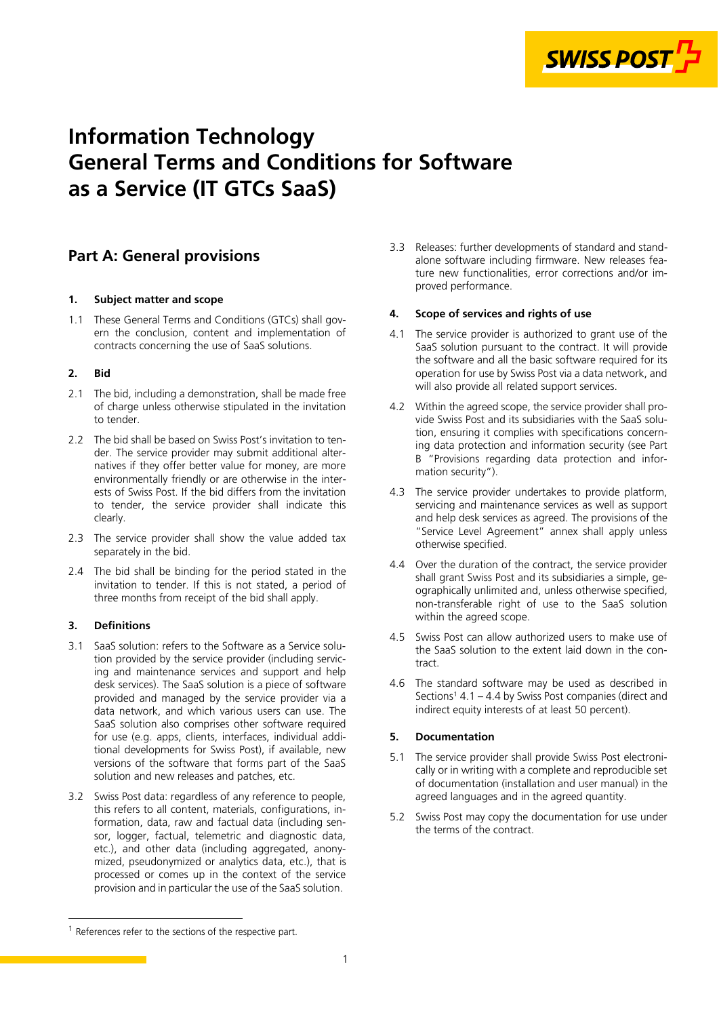

# **Information Technology General Terms and Conditions for Software as a Service (IT GTCs SaaS)**

# **Part A: General provisions**

#### **1. Subject matter and scope**

1.1 These General Terms and Conditions (GTCs) shall govern the conclusion, content and implementation of contracts concerning the use of SaaS solutions.

#### **2. Bid**

- 2.1 The bid, including a demonstration, shall be made free of charge unless otherwise stipulated in the invitation to tender.
- 2.2 The bid shall be based on Swiss Post's invitation to tender. The service provider may submit additional alternatives if they offer better value for money, are more environmentally friendly or are otherwise in the interests of Swiss Post. If the bid differs from the invitation to tender, the service provider shall indicate this clearly.
- 2.3 The service provider shall show the value added tax separately in the bid.
- 2.4 The bid shall be binding for the period stated in the invitation to tender. If this is not stated, a period of three months from receipt of the bid shall apply.

# **3. Definitions**

- 3.1 SaaS solution: refers to the Software as a Service solution provided by the service provider (including servicing and maintenance services and support and help desk services). The SaaS solution is a piece of software provided and managed by the service provider via a data network, and which various users can use. The SaaS solution also comprises other software required for use (e.g. apps, clients, interfaces, individual additional developments for Swiss Post), if available, new versions of the software that forms part of the SaaS solution and new releases and patches, etc.
- 3.2 Swiss Post data: regardless of any reference to people, this refers to all content, materials, configurations, information, data, raw and factual data (including sensor, logger, factual, telemetric and diagnostic data, etc.), and other data (including aggregated, anonymized, pseudonymized or analytics data, etc.), that is processed or comes up in the context of the service provision and in particular the use of the SaaS solution.

3.3 Releases: further developments of standard and standalone software including firmware. New releases feature new functionalities, error corrections and/or improved performance.

#### **4. Scope of services and rights of use**

- 4.1 The service provider is authorized to grant use of the SaaS solution pursuant to the contract. It will provide the software and all the basic software required for its operation for use by Swiss Post via a data network, and will also provide all related support services.
- 4.2 Within the agreed scope, the service provider shall provide Swiss Post and its subsidiaries with the SaaS solution, ensuring it complies with specifications concerning data protection and information security (see Part B "Provisions regarding data protection and information security").
- 4.3 The service provider undertakes to provide platform, servicing and maintenance services as well as support and help desk services as agreed. The provisions of the "Service Level Agreement" annex shall apply unless otherwise specified.
- 4.4 Over the duration of the contract, the service provider shall grant Swiss Post and its subsidiaries a simple, geographically unlimited and, unless otherwise specified, non-transferable right of use to the SaaS solution within the agreed scope.
- 4.5 Swiss Post can allow authorized users to make use of the SaaS solution to the extent laid down in the contract.
- 4.6 The standard software may be used as described in Sections<sup>1</sup> 4.1 – 4.4 by Swiss Post companies (direct and indirect equity interests of at least 50 percent).

# **5. Documentation**

- 5.1 The service provider shall provide Swiss Post electronically or in writing with a complete and reproducible set of documentation (installation and user manual) in the agreed languages and in the agreed quantity.
- 5.2 Swiss Post may copy the documentation for use under the terms of the contract.

<sup>&</sup>lt;sup>1</sup> References refer to the sections of the respective part.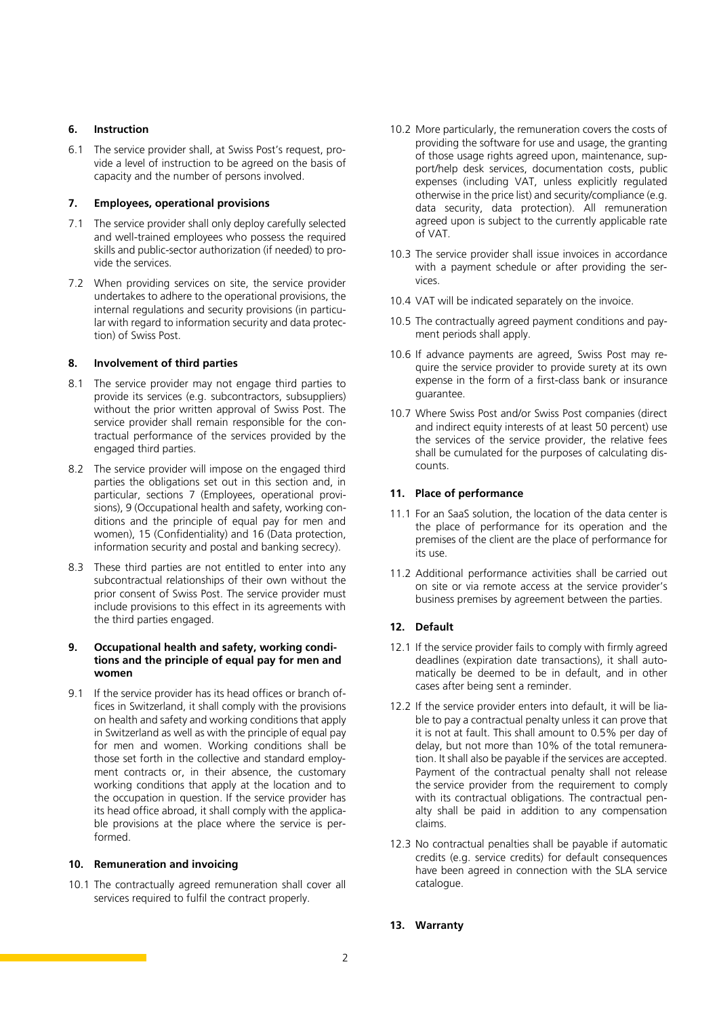#### **6. Instruction**

6.1 The service provider shall, at Swiss Post's request, provide a level of instruction to be agreed on the basis of capacity and the number of persons involved.

#### **7. Employees, operational provisions**

- 7.1 The service provider shall only deploy carefully selected and well-trained employees who possess the required skills and public-sector authorization (if needed) to provide the services.
- 7.2 When providing services on site, the service provider undertakes to adhere to the operational provisions, the internal regulations and security provisions (in particular with regard to information security and data protection) of Swiss Post.

#### **8. Involvement of third parties**

- 8.1 The service provider may not engage third parties to provide its services (e.g. subcontractors, subsuppliers) without the prior written approval of Swiss Post. The service provider shall remain responsible for the contractual performance of the services provided by the engaged third parties.
- 8.2 The service provider will impose on the engaged third parties the obligations set out in this section and, in particular, sections 7 (Employees, operational provisions), 9 (Occupational health and safety, working conditions and the principle of equal pay for men and women), [15](#page-2-0) [\(Confidentiality](#page-2-0)) and [16](#page-2-0) [\(Data protection,](#page-2-0)  [information security and postal and banking secrecy](#page-2-0)).
- 8.3 These third parties are not entitled to enter into any subcontractual relationships of their own without the prior consent of Swiss Post. The service provider must include provisions to this effect in its agreements with the third parties engaged.

#### **9. Occupational health and safety, working conditions and the principle of equal pay for men and women**

9.1 If the service provider has its head offices or branch offices in Switzerland, it shall comply with the provisions on health and safety and working conditions that apply in Switzerland as well as with the principle of equal pay for men and women. Working conditions shall be those set forth in the collective and standard employment contracts or, in their absence, the customary working conditions that apply at the location and to the occupation in question. If the service provider has its head office abroad, it shall comply with the applicable provisions at the place where the service is performed.

# **10. Remuneration and invoicing**

10.1 The contractually agreed remuneration shall cover all services required to fulfil the contract properly.

- 10.2 More particularly, the remuneration covers the costs of providing the software for use and usage, the granting of those usage rights agreed upon, maintenance, support/help desk services, documentation costs, public expenses (including VAT, unless explicitly regulated otherwise in the price list) and security/compliance (e.g. data security, data protection). All remuneration agreed upon is subject to the currently applicable rate of VAT.
- 10.3 The service provider shall issue invoices in accordance with a payment schedule or after providing the services.
- 10.4 VAT will be indicated separately on the invoice.
- 10.5 The contractually agreed payment conditions and payment periods shall apply.
- 10.6 If advance payments are agreed, Swiss Post may require the service provider to provide surety at its own expense in the form of a first-class bank or insurance guarantee.
- 10.7 Where Swiss Post and/or Swiss Post companies (direct and indirect equity interests of at least 50 percent) use the services of the service provider, the relative fees shall be cumulated for the purposes of calculating discounts.

# **11. Place of performance**

- 11.1 For an SaaS solution, the location of the data center is the place of performance for its operation and the premises of the client are the place of performance for its use.
- 11.2 Additional performance activities shall be carried out on site or via remote access at the service provider's business premises by agreement between the parties.

# **12. Default**

- 12.1 If the service provider fails to comply with firmly agreed deadlines (expiration date transactions), it shall automatically be deemed to be in default, and in other cases after being sent a reminder.
- 12.2 If the service provider enters into default, it will be liable to pay a contractual penalty unless it can prove that it is not at fault. This shall amount to 0.5% per day of delay, but not more than 10% of the total remuneration. It shall also be payable if the services are accepted. Payment of the contractual penalty shall not release the service provider from the requirement to comply with its contractual obligations. The contractual penalty shall be paid in addition to any compensation claims.
- 12.3 No contractual penalties shall be payable if automatic credits (e.g. service credits) for default consequences have been agreed in connection with the SLA service catalogue.

# **13. Warranty**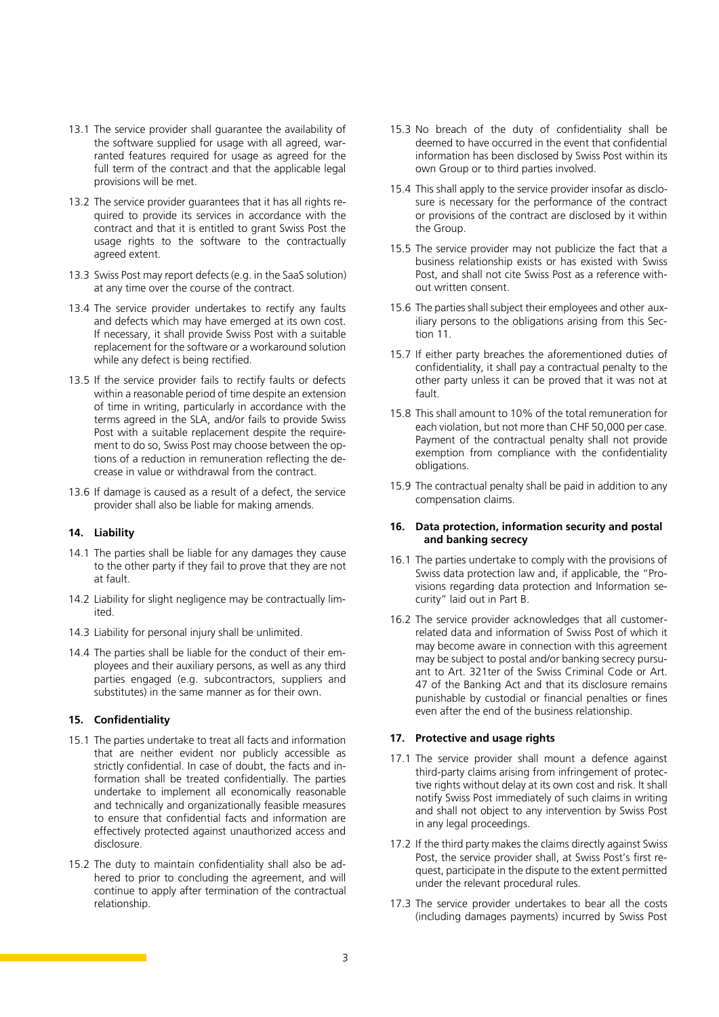- <span id="page-2-0"></span>13.1 The service provider shall guarantee the availability of the software supplied for usage with all agreed, warranted features required for usage as agreed for the full term of the contract and that the applicable legal provisions will be met.
- 13.2 The service provider guarantees that it has all rights required to provide its services in accordance with the contract and that it is entitled to grant Swiss Post the usage rights to the software to the contractually agreed extent.
- 13.3 Swiss Post may report defects (e.g. in the SaaS solution) at any time over the course of the contract.
- 13.4 The service provider undertakes to rectify any faults and defects which may have emerged at its own cost. If necessary, it shall provide Swiss Post with a suitable replacement for the software or a workaround solution while any defect is being rectified.
- 13.5 If the service provider fails to rectify faults or defects within a reasonable period of time despite an extension of time in writing, particularly in accordance with the terms agreed in the SLA, and/or fails to provide Swiss Post with a suitable replacement despite the requirement to do so, Swiss Post may choose between the options of a reduction in remuneration reflecting the decrease in value or withdrawal from the contract.
- 13.6 If damage is caused as a result of a defect, the service provider shall also be liable for making amends.

#### **14. Liability**

- 14.1 The parties shall be liable for any damages they cause to the other party if they fail to prove that they are not at fault.
- 14.2 Liability for slight negligence may be contractually limited.
- 14.3 Liability for personal injury shall be unlimited.
- 14.4 The parties shall be liable for the conduct of their employees and their auxiliary persons, as well as any third parties engaged (e.g. subcontractors, suppliers and substitutes) in the same manner as for their own.

# **15. Confidentiality**

- 15.1 The parties undertake to treat all facts and information that are neither evident nor publicly accessible as strictly confidential. In case of doubt, the facts and information shall be treated confidentially. The parties undertake to implement all economically reasonable and technically and organizationally feasible measures to ensure that confidential facts and information are effectively protected against unauthorized access and disclosure.
- 15.2 The duty to maintain confidentiality shall also be adhered to prior to concluding the agreement, and will continue to apply after termination of the contractual relationship.
- 15.3 No breach of the duty of confidentiality shall be deemed to have occurred in the event that confidential information has been disclosed by Swiss Post within its own Group or to third parties involved.
- 15.4 This shall apply to the service provider insofar as disclosure is necessary for the performance of the contract or provisions of the contract are disclosed by it within the Group.
- 15.5 The service provider may not publicize the fact that a business relationship exists or has existed with Swiss Post, and shall not cite Swiss Post as a reference without written consent.
- 15.6 The parties shall subject their employees and other auxiliary persons to the obligations arising from this Section 11.
- 15.7 If either party breaches the aforementioned duties of confidentiality, it shall pay a contractual penalty to the other party unless it can be proved that it was not at fault.
- 15.8 This shall amount to 10% of the total remuneration for each violation, but not more than CHF 50,000 per case. Payment of the contractual penalty shall not provide exemption from compliance with the confidentiality obligations.
- 15.9 The contractual penalty shall be paid in addition to any compensation claims.

#### **16. Data protection, information security and postal and banking secrecy**

- 16.1 The parties undertake to comply with the provisions of Swiss data protection law and, if applicable, the "Provisions regarding data protection and Information security" laid out in Part B.
- 16.2 The service provider acknowledges that all customerrelated data and information of Swiss Post of which it may become aware in connection with this agreement may be subject to postal and/or banking secrecy pursuant to Art. 321ter of the Swiss Criminal Code or Art. 47 of the Banking Act and that its disclosure remains punishable by custodial or financial penalties or fines even after the end of the business relationship.

#### **17. Protective and usage rights**

- 17.1 The service provider shall mount a defence against third-party claims arising from infringement of protective rights without delay at its own cost and risk. It shall notify Swiss Post immediately of such claims in writing and shall not object to any intervention by Swiss Post in any legal proceedings.
- 17.2 If the third party makes the claims directly against Swiss Post, the service provider shall, at Swiss Post's first request, participate in the dispute to the extent permitted under the relevant procedural rules.
- 17.3 The service provider undertakes to bear all the costs (including damages payments) incurred by Swiss Post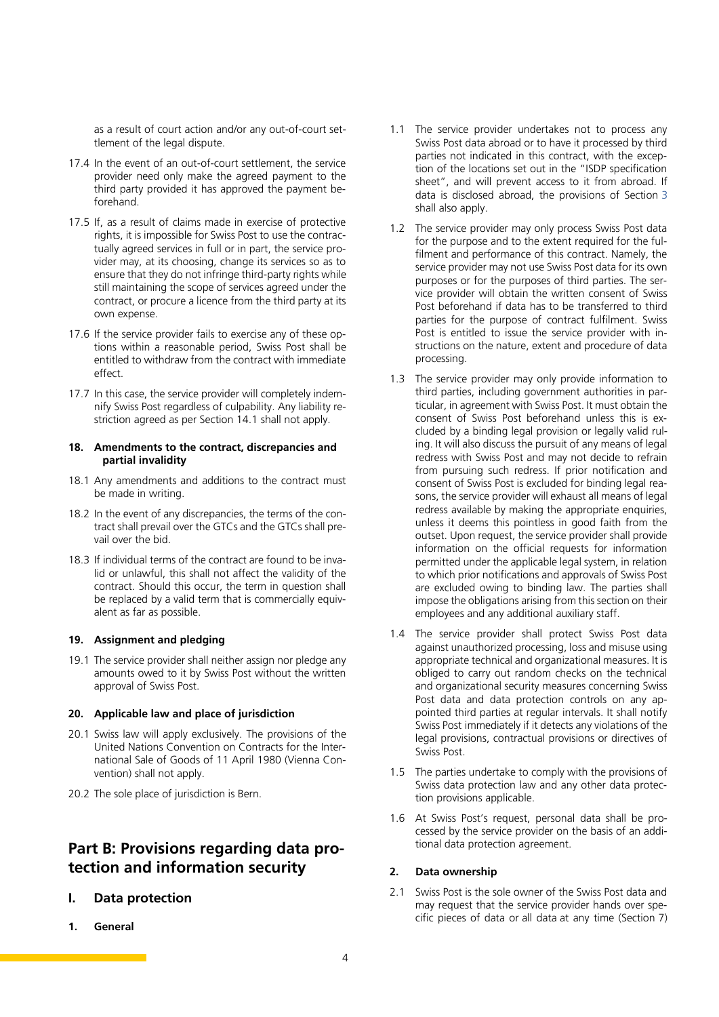<span id="page-3-0"></span>as a result of court action and/or any out-of-court settlement of the legal dispute.

- 17.4 In the event of an out-of-court settlement, the service provider need only make the agreed payment to the third party provided it has approved the payment beforehand.
- 17.5 If, as a result of claims made in exercise of protective rights, it is impossible for Swiss Post to use the contractually agreed services in full or in part, the service provider may, at its choosing, change its services so as to ensure that they do not infringe third-party rights while still maintaining the scope of services agreed under the contract, or procure a licence from the third party at its own expense.
- 17.6 If the service provider fails to exercise any of these options within a reasonable period, Swiss Post shall be entitled to withdraw from the contract with immediate effect.
- 17.7 In this case, the service provider will completely indemnify Swiss Post regardless of culpability. Any liability restriction agreed as per Section 14.1 shall not apply.

#### **18. Amendments to the contract, discrepancies and partial invalidity**

- 18.1 Any amendments and additions to the contract must be made in writing.
- 18.2 In the event of any discrepancies, the terms of the contract shall prevail over the GTCs and the GTCs shall prevail over the bid.
- 18.3 If individual terms of the contract are found to be invalid or unlawful, this shall not affect the validity of the contract. Should this occur, the term in question shall be replaced by a valid term that is commercially equivalent as far as possible.

#### **19. Assignment and pledging**

19.1 The service provider shall neither assign nor pledge any amounts owed to it by Swiss Post without the written approval of Swiss Post.

#### **20. Applicable law and place of jurisdiction**

- 20.1 Swiss law will apply exclusively. The provisions of the United Nations Convention on Contracts for the International Sale of Goods of 11 April 1980 (Vienna Convention) shall not apply.
- 20.2 The sole place of jurisdiction is Bern.

# **Part B: Provisions regarding data protection and information security**

- **I. Data protection**
- **1. General**
- 1.1 The service provider undertakes not to process any Swiss Post data abroad or to have it processed by third parties not indicated in this contract, with the exception of the locations set out in the "ISDP specification sheet", and will prevent access to it from abroad. If data is disclosed abroad, the provisions of Section [3](#page-4-0) shall also apply.
- 1.2 The service provider may only process Swiss Post data for the purpose and to the extent required for the fulfilment and performance of this contract. Namely, the service provider may not use Swiss Post data for its own purposes or for the purposes of third parties. The service provider will obtain the written consent of Swiss Post beforehand if data has to be transferred to third parties for the purpose of contract fulfilment. Swiss Post is entitled to issue the service provider with instructions on the nature, extent and procedure of data processing.
- 1.3 The service provider may only provide information to third parties, including government authorities in particular, in agreement with Swiss Post. It must obtain the consent of Swiss Post beforehand unless this is excluded by a binding legal provision or legally valid ruling. It will also discuss the pursuit of any means of legal redress with Swiss Post and may not decide to refrain from pursuing such redress. If prior notification and consent of Swiss Post is excluded for binding legal reasons, the service provider will exhaust all means of legal redress available by making the appropriate enquiries, unless it deems this pointless in good faith from the outset. Upon request, the service provider shall provide information on the official requests for information permitted under the applicable legal system, in relation to which prior notifications and approvals of Swiss Post are excluded owing to binding law. The parties shall impose the obligations arising from this section on their employees and any additional auxiliary staff.
- 1.4 The service provider shall protect Swiss Post data against unauthorized processing, loss and misuse using appropriate technical and organizational measures. It is obliged to carry out random checks on the technical and organizational security measures concerning Swiss Post data and data protection controls on any appointed third parties at regular intervals. It shall notify Swiss Post immediately if it detects any violations of the legal provisions, contractual provisions or directives of Swiss Post.
- 1.5 The parties undertake to comply with the provisions of Swiss data protection law and any other data protection provisions applicable.
- 1.6 At Swiss Post's request, personal data shall be processed by the service provider on the basis of an additional data protection agreement.

#### **2. Data ownership**

2.1 Swiss Post is the sole owner of the Swiss Post data and may request that the service provider hands over specific pieces of data or all data at any time (Section [7](#page-4-0))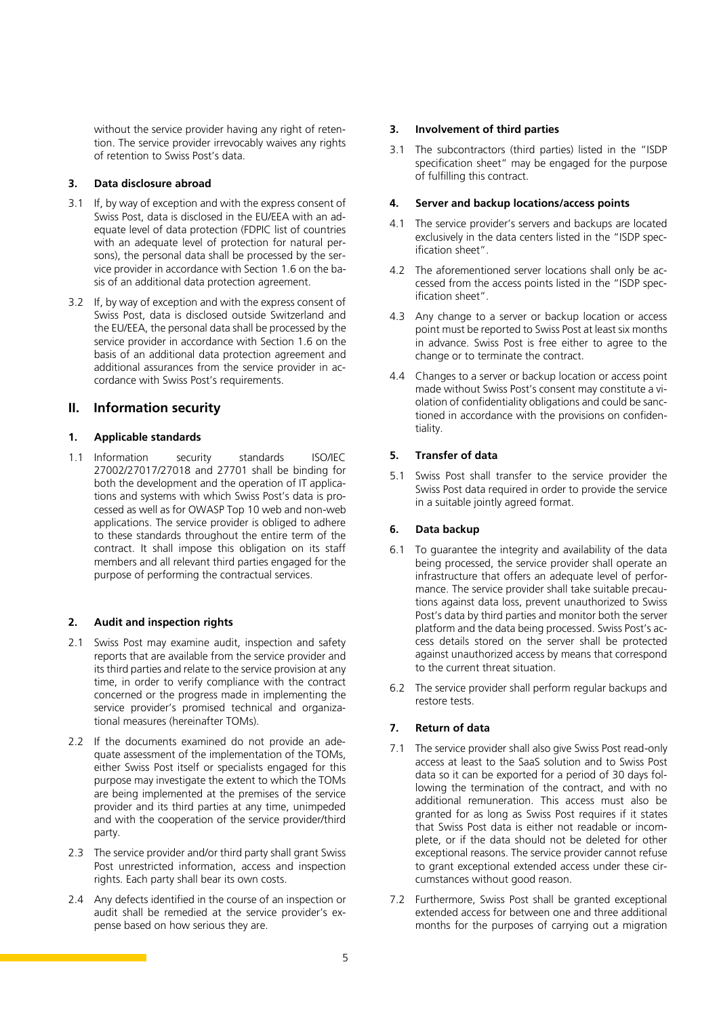<span id="page-4-0"></span>without the service provider having any right of retention. The service provider irrevocably waives any rights of retention to Swiss Post's data.

### **3. Data disclosure abroad**

- 3.1 If, by way of exception and with the express consent of Swiss Post, data is disclosed in the EU/EEA with an adequate level of data protection (FDPIC list of countries with an adequate level of protection for natural persons), the personal data shall be processed by the service provider in accordance with Section [1.6](#page-3-0) on the basis of an additional data protection agreement.
- 3.2 If, by way of exception and with the express consent of Swiss Post, data is disclosed outside Switzerland and the EU/EEA, the personal data shall be processed by the service provider in accordance with Section 1.6 on the basis of an additional data protection agreement and additional assurances from the service provider in accordance with Swiss Post's requirements.

# **II. Information security**

#### **1. Applicable standards**

1.1 Information security standards ISO/IEC 27002/27017/27018 and 27701 shall be binding for both the development and the operation of IT applications and systems with which Swiss Post's data is processed as well as for OWASP Top 10 web and non-web applications. The service provider is obliged to adhere to these standards throughout the entire term of the contract. It shall impose this obligation on its staff members and all relevant third parties engaged for the purpose of performing the contractual services.

# **2. Audit and inspection rights**

- 2.1 Swiss Post may examine audit, inspection and safety reports that are available from the service provider and its third parties and relate to the service provision at any time, in order to verify compliance with the contract concerned or the progress made in implementing the service provider's promised technical and organizational measures (hereinafter TOMs).
- 2.2 If the documents examined do not provide an adequate assessment of the implementation of the TOMs, either Swiss Post itself or specialists engaged for this purpose may investigate the extent to which the TOMs are being implemented at the premises of the service provider and its third parties at any time, unimpeded and with the cooperation of the service provider/third party.
- 2.3 The service provider and/or third party shall grant Swiss Post unrestricted information, access and inspection rights. Each party shall bear its own costs.
- 2.4 Any defects identified in the course of an inspection or audit shall be remedied at the service provider's expense based on how serious they are.

#### **3. Involvement of third parties**

3.1 The subcontractors (third parties) listed in the "ISDP specification sheet" may be engaged for the purpose of fulfilling this contract.

#### **4. Server and backup locations/access points**

- 4.1 The service provider's servers and backups are located exclusively in the data centers listed in the "ISDP specification sheet".
- 4.2 The aforementioned server locations shall only be accessed from the access points listed in the "ISDP specification sheet".
- 4.3 Any change to a server or backup location or access point must be reported to Swiss Post at least six months in advance. Swiss Post is free either to agree to the change or to terminate the contract.
- 4.4 Changes to a server or backup location or access point made without Swiss Post's consent may constitute a violation of confidentiality obligations and could be sanctioned in accordance with the provisions on confidentiality.

# **5. Transfer of data**

5.1 Swiss Post shall transfer to the service provider the Swiss Post data required in order to provide the service in a suitable jointly agreed format.

# **6. Data backup**

- 6.1 To guarantee the integrity and availability of the data being processed, the service provider shall operate an infrastructure that offers an adequate level of performance. The service provider shall take suitable precautions against data loss, prevent unauthorized to Swiss Post's data by third parties and monitor both the server platform and the data being processed. Swiss Post's access details stored on the server shall be protected against unauthorized access by means that correspond to the current threat situation.
- 6.2 The service provider shall perform regular backups and restore tests.

# **7. Return of data**

- 7.1 The service provider shall also give Swiss Post read-only access at least to the SaaS solution and to Swiss Post data so it can be exported for a period of 30 days following the termination of the contract, and with no additional remuneration. This access must also be granted for as long as Swiss Post requires if it states that Swiss Post data is either not readable or incomplete, or if the data should not be deleted for other exceptional reasons. The service provider cannot refuse to grant exceptional extended access under these circumstances without good reason.
- 7.2 Furthermore, Swiss Post shall be granted exceptional extended access for between one and three additional months for the purposes of carrying out a migration